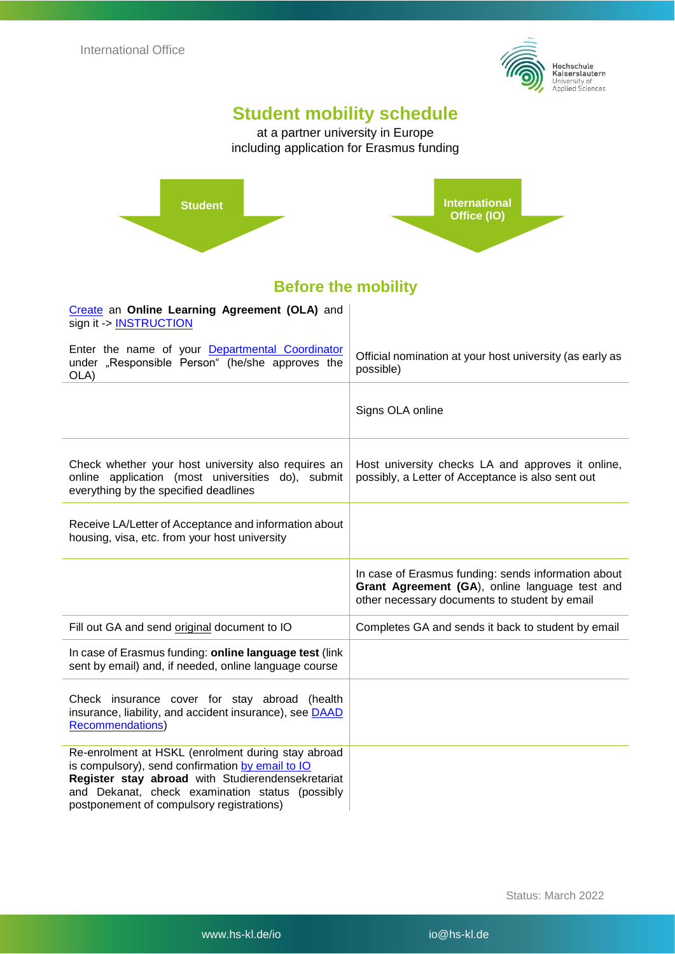

## **Student mobility schedule**

at a partner university in Europe including application for Erasmus funding



#### **Before the mobility**  à.

| Create an Online Learning Agreement (OLA) and<br>sign it -> INSTRUCTION                                                                           |                                                                                                                                                        |
|---------------------------------------------------------------------------------------------------------------------------------------------------|--------------------------------------------------------------------------------------------------------------------------------------------------------|
| Enter the name of your Departmental Coordinator<br>under "Responsible Person" (he/she approves the<br>OLA)                                        | Official nomination at your host university (as early as<br>possible)                                                                                  |
|                                                                                                                                                   | Signs OLA online                                                                                                                                       |
| Check whether your host university also requires an<br>online application (most universities do), submit<br>everything by the specified deadlines | Host university checks LA and approves it online,<br>possibly, a Letter of Acceptance is also sent out                                                 |
| Receive LA/Letter of Acceptance and information about<br>housing, visa, etc. from your host university                                            |                                                                                                                                                        |
|                                                                                                                                                   |                                                                                                                                                        |
|                                                                                                                                                   | In case of Erasmus funding: sends information about<br>Grant Agreement (GA), online language test and<br>other necessary documents to student by email |
| Fill out GA and send original document to IO                                                                                                      | Completes GA and sends it back to student by email                                                                                                     |
| In case of Erasmus funding: online language test (link<br>sent by email) and, if needed, online language course                                   |                                                                                                                                                        |
| Check insurance cover for stay abroad (health<br>insurance, liability, and accident insurance), see <b>DAAD</b><br><b>Recommendations)</b>        |                                                                                                                                                        |